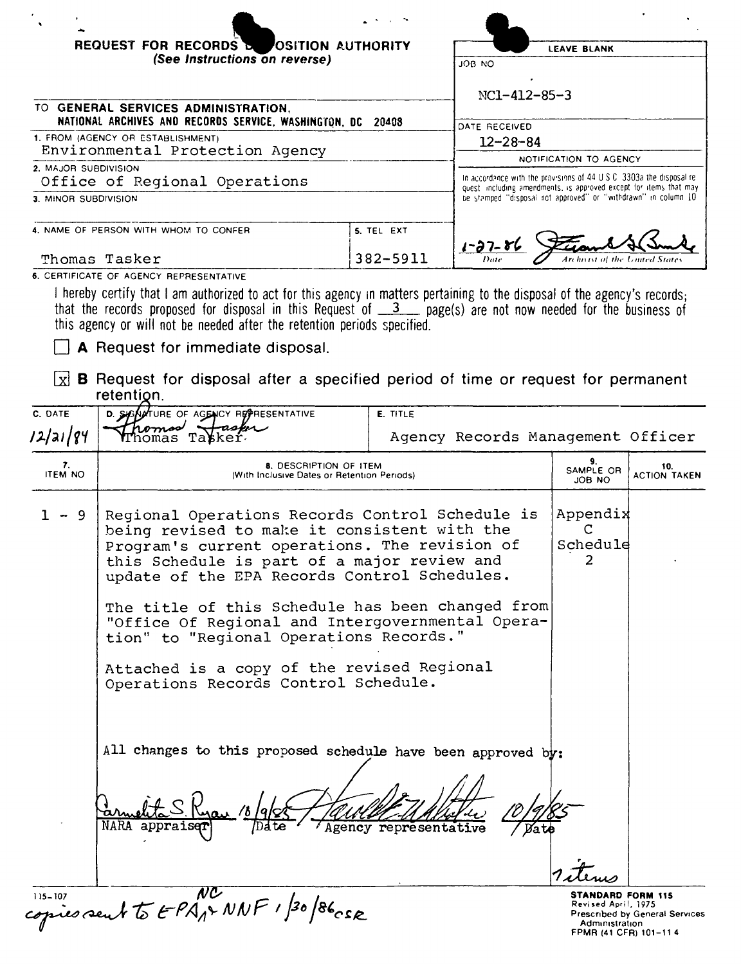| REQUEST FOR RECORDS & OSITION AUTHORITY                                                               |                                        | <b>LEAVE BLANK</b>                                             |  |
|-------------------------------------------------------------------------------------------------------|----------------------------------------|----------------------------------------------------------------|--|
| (See Instructions on reverse)                                                                         |                                        | JOB NO<br>$NC1 - 412 - 85 - 3$                                 |  |
| TO GENERAL SERVICES ADMINISTRATION,<br>NATIONAL ARCHIVES AND RECORDS SERVICE, WASHINGTON, DC<br>20408 |                                        | DATE RECEIVED<br>$12 - 28 - 84$<br>NOTIFICATION TO AGENCY      |  |
| 1. FROM (AGENCY OR ESTABLISHMENT)<br>Environmental Protection Agency                                  |                                        |                                                                |  |
|                                                                                                       |                                        |                                                                |  |
| 3. MINOR SUBDIVISION                                                                                  |                                        | be stamped "disposal not approved" or "withdrawn" in column 10 |  |
| 4. NAME OF PERSON WITH WHOM TO CONFER                                                                 | 5. TEL EXT                             | $1 - 37 - 86$                                                  |  |
| Thomas Tasker                                                                                         | Archievit of the United States<br>Date |                                                                |  |
| 6. CERTIFICATE OF AGENCY REPRESENTATIVE                                                               |                                        |                                                                |  |
|                                                                                                       |                                        |                                                                |  |

I hereby certify that I am authorized to act for this agency In matters pertaining to the disposal of the agency's records; that the records proposed for disposal in this Request of \_\_3 \_\_ page(s) are not now needed for the business of this agency or will not be needed after the retention periods specified.

 $\Box$  A Request for immediate disposal.

 $\boxed{\times}$  **B** Request for disposal after a specified period of time or request for permanent retention.

| C. DATE              | D. SUSAUTURE OF AGENCY REPRESENTATIVE<br>homos Hasper                                                                                                                                                                                                                                                                                                                                                                                                                                    | E. TITLE                          |                                       |                                |  |
|----------------------|------------------------------------------------------------------------------------------------------------------------------------------------------------------------------------------------------------------------------------------------------------------------------------------------------------------------------------------------------------------------------------------------------------------------------------------------------------------------------------------|-----------------------------------|---------------------------------------|--------------------------------|--|
| 12/21/84             | nomas Tabker                                                                                                                                                                                                                                                                                                                                                                                                                                                                             | Agency Records Management Officer |                                       |                                |  |
| 7.<br><b>ITEM NO</b> | <b>8. DESCRIPTION OF ITEM</b><br>(With Inclusive Dates or Retention Periods)                                                                                                                                                                                                                                                                                                                                                                                                             |                                   | 9.<br>SAMPLE OR<br><b>JOB NO</b>      | 10.<br><b>ACTION TAKEN</b>     |  |
| -9                   | Regional Operations Records Control Schedule is<br>being revised to make it consistent with the<br>Program's current operations. The revision of<br>this Schedule is part of a major review and<br>update of the EPA Records Control Schedules.<br>The title of this Schedule has been changed from<br>"Office Of Regional and Intergovernmental Opera-<br>tion" to "Regional Operations Records."<br>Attached is a copy of the revised Regional<br>Operations Records Control Schedule. |                                   | Appendix<br>C<br>Schedule<br>2        |                                |  |
|                      | All changes to this proposed schedule have been approved by:<br>NARA appraiser<br>Agency representative<br>STANDARD FORM 115                                                                                                                                                                                                                                                                                                                                                             |                                   |                                       |                                |  |
|                      | 115-107<br>copies sent to EPA12 NNF 1/30/86 cse                                                                                                                                                                                                                                                                                                                                                                                                                                          |                                   | Revised April, 1975<br>Administration | Prescribed by General Services |  |

Prescribed by General Services Adrrurustratron FPMR (41 CFR) 101-11 4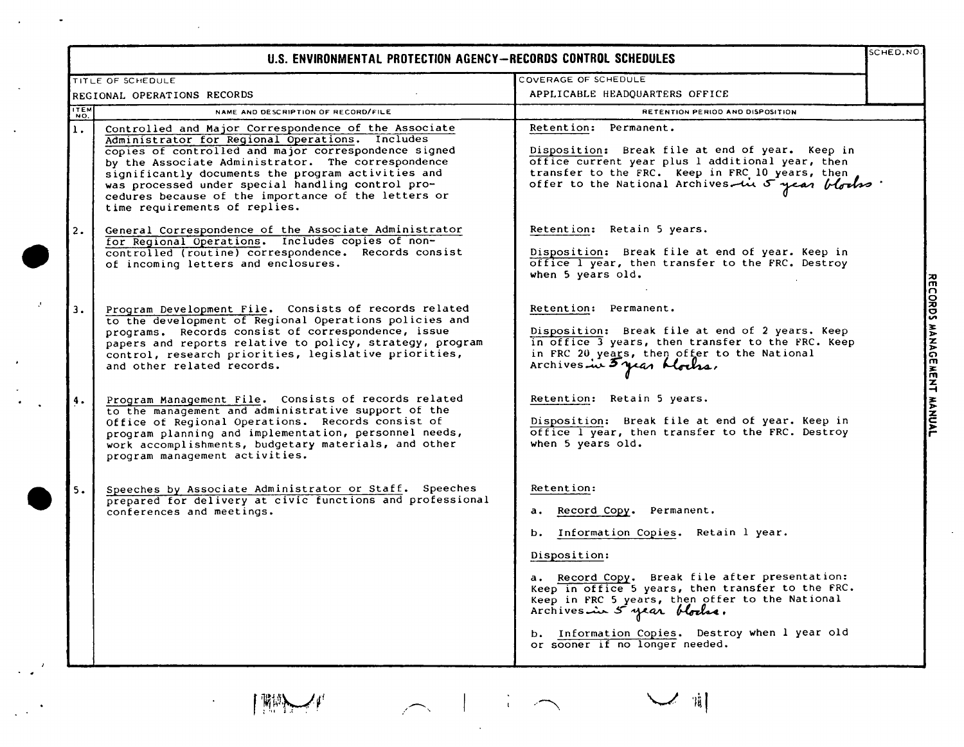|      | U.S. ENVIRONMENTAL PROTECTION AGENCY-RECORDS CONTROL SCHEDULES                                                                                                                                                                                                                                                                                                                                                           |                                                                                                                                                                                                                                                                                                                                                                               |  |
|------|--------------------------------------------------------------------------------------------------------------------------------------------------------------------------------------------------------------------------------------------------------------------------------------------------------------------------------------------------------------------------------------------------------------------------|-------------------------------------------------------------------------------------------------------------------------------------------------------------------------------------------------------------------------------------------------------------------------------------------------------------------------------------------------------------------------------|--|
|      | TITLE OF SCHEDULE                                                                                                                                                                                                                                                                                                                                                                                                        | COVERAGE OF SCHEDULE                                                                                                                                                                                                                                                                                                                                                          |  |
|      | REGIONAL OPERATIONS RECORDS                                                                                                                                                                                                                                                                                                                                                                                              | APPLICABLE HEADQUARTERS OFFICE                                                                                                                                                                                                                                                                                                                                                |  |
| ITEM | NAME AND DESCRIPTION OF RECORD/FILE                                                                                                                                                                                                                                                                                                                                                                                      | RETENTION PERIOD AND DISPOSITION                                                                                                                                                                                                                                                                                                                                              |  |
| 1.   | Controlled and Major Correspondence of the Associate<br>Administrator for Regional Operations. Includes<br>copies of controlled and major correspondence signed<br>by the Associate Administrator. The correspondence<br>significantly documents the program activities and<br>was processed under special handling control pro-<br>cedures because of the importance of the letters or<br>time requirements of replies. | Retention: Permanent.<br>Disposition: Break file at end of year. Keep in<br>office current year plus 1 additional year, then<br>transfer to the FRC. Keep in FRC 10 years, then<br>offer to the National Archives in 5 year blocks                                                                                                                                            |  |
| 2.   | General Correspondence of the Associate Administrator<br>for Regional Operations. Includes copies of non-<br>controlled (routine) correspondence. Records consist<br>of incoming letters and enclosures.                                                                                                                                                                                                                 | Retention: Retain 5 years.<br>Disposition: Break file at end of year. Keep in<br>office I year, then transfer to the FRC. Destroy<br>when 5 years old.                                                                                                                                                                                                                        |  |
| 3.   | Program Development File. Consists of records related<br>to the development of Regional Operations policies and<br>programs. Records consist of correspondence, issue<br>papers and reports relative to policy, strategy, program<br>control, research priorities, legislative priorities,<br>and other related records.                                                                                                 | Retention: Permanent.<br>Disposition: Break file at end of 2 years. Keep<br>in office 3 years, then transfer to the FRC. Keep<br>in FRC 20 years, then offer to the National<br>Archives in 3 year Mocks.                                                                                                                                                                     |  |
| 4.   | Program Management File. Consists of records related<br>to the management and administrative support of the<br>Office of Regional Operations. Records consist of<br>program planning and implementation, personnel needs,<br>work accomplishments, budgetary materials, and other<br>program management activities.                                                                                                      | Retention: Retain 5 years.<br>Disposition: Break file at end of year. Keep in<br>office I year, then transfer to the FRC. Destroy<br>when 5 years old.                                                                                                                                                                                                                        |  |
| 5.   | Speeches by Associate Administrator or Staff. Speeches<br>prepared for delivery at civic functions and professional<br>conferences and meetings.                                                                                                                                                                                                                                                                         | Retention:<br>a. Record Copy. Permanent.<br>b. Information Copies. Retain 1 year.<br>Disposition:<br>a. Record Copy. Break file after presentation:<br>Keep in office 5 years, then transfer to the FRC.<br>Keep in FRC 5 years, then offer to the National<br>Archives in 5 year blocks.<br>b. Information Copies. Destroy when I year old<br>or sooner if no longer needed. |  |

 $\mathcal{I}$   $\mathcal{I}'$   $\mathcal{I}'$ 

 $\mathcal{A}^{\mathcal{A}}$  and  $\mathcal{A}^{\mathcal{A}}$  are the set of the set of the set of the set of the set of  $\mathcal{A}$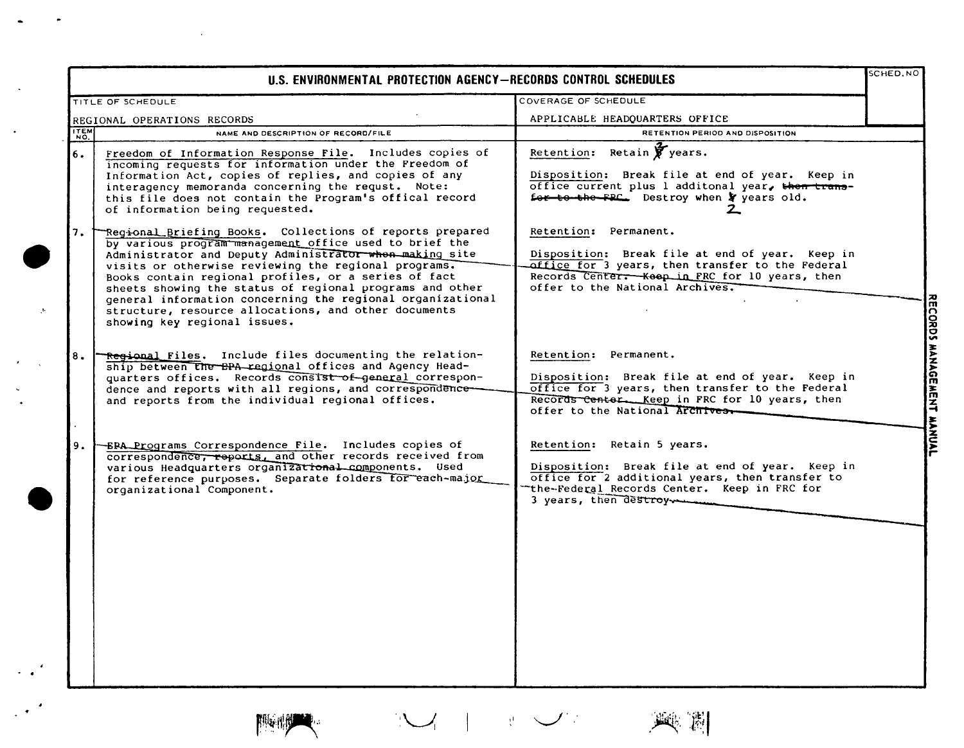| U.S. ENVIRONMENTAL PROTECTION AGENCY-RECORDS CONTROL SCHEDULES |                                                                                                                                                                                                                                                                                                                                                                                                                                                                                                                 |                                                                                                                                                                                                                     | SCHED.NO      |
|----------------------------------------------------------------|-----------------------------------------------------------------------------------------------------------------------------------------------------------------------------------------------------------------------------------------------------------------------------------------------------------------------------------------------------------------------------------------------------------------------------------------------------------------------------------------------------------------|---------------------------------------------------------------------------------------------------------------------------------------------------------------------------------------------------------------------|---------------|
|                                                                | TITLE OF SCHEDULE                                                                                                                                                                                                                                                                                                                                                                                                                                                                                               | COVERAGE OF SCHEDULE                                                                                                                                                                                                |               |
|                                                                | REGIONAL OPERATIONS RECORDS                                                                                                                                                                                                                                                                                                                                                                                                                                                                                     | APPLICABLE HEADQUARTERS OFFICE                                                                                                                                                                                      |               |
| <b>ITEM</b>                                                    | NAME AND DESCRIPTION OF RECORD/FILE                                                                                                                                                                                                                                                                                                                                                                                                                                                                             | RETENTION PERIOD AND DISPOSITION                                                                                                                                                                                    |               |
| 6.                                                             | Freedom of Information Response File. Includes copies of<br>incoming requests for information under the Freedom of<br>Information Act, copies of replies, and copies of any<br>interagency memoranda concerning the requst. Note:<br>this file does not contain the Program's offical record<br>of information being requested.                                                                                                                                                                                 | Retain $\mathbf{\hat{y}}$ years.<br>Retention:<br>Disposition: Break file at end of year. Keep in<br>office current plus 1 additonal year, then trans-<br>for to the FPC. Destroy when y years old.                 |               |
| 7.                                                             | Regional Briefing Books. Collections of reports prepared<br>by various program management office used to brief the<br>Administrator and Deputy Administrator when making site<br>visits or otherwise reviewing the regional programs.<br>Books contain regional profiles, or a series of fact<br>sheets showing the status of regional programs and other<br>general information concerning the regional organizational<br>structure, resource allocations, and other documents<br>showing key regional issues. | Retention: Permanent.<br>Disposition: Break file at end of year. Keep in<br>office for 3 years, then transfer to the Federal<br>Records Center. - Keep in FRC for 10 years, then<br>offer to the National Archives. | <b>CORDS</b>  |
| 8.                                                             | Regional Files. Include files documenting the relation-<br>ship between the BPA regional offices and Agency Head-<br>quarters offices. Records consist of general correspon-<br>dence and reports with all regions, and correspondence-<br>and reports from the individual regional offices.                                                                                                                                                                                                                    | Retention: Permanent.<br>Disposition: Break file at end of year. Keep in<br>office for 3 years, then transfer to the Federal<br>Records Center. Keep in FRC for 10 years, then<br>offer to the National Archives.   | <b>HANAGE</b> |
| 9.                                                             | -ERA Programs Correspondence File. Includes copies of<br>correspondence, reports, and other records received from<br>various Headquarters organizational components. Used<br>for reference purposes. Separate folders for each-major<br>organizational Component.                                                                                                                                                                                                                                               | Retention: Retain 5 years.<br>Disposition: Break file at end of year. Keep in<br>office for 2 additional years, then transfer to<br>the-Federal Records Center. Keep in FRC for<br>3 years, then destroy            |               |



 $\bullet$ 

 $\sim$ 

 $\ddot{\phantom{a}}$ 

 $\mathcal{P}$ 

 $\ddot{\phantom{0}}$ 

 $\hat{\boldsymbol{\epsilon}}$ 



 $\mathcal{C}_{\mathcal{A}}$ 

 $\mathcal{L}_{\mathcal{A}}$